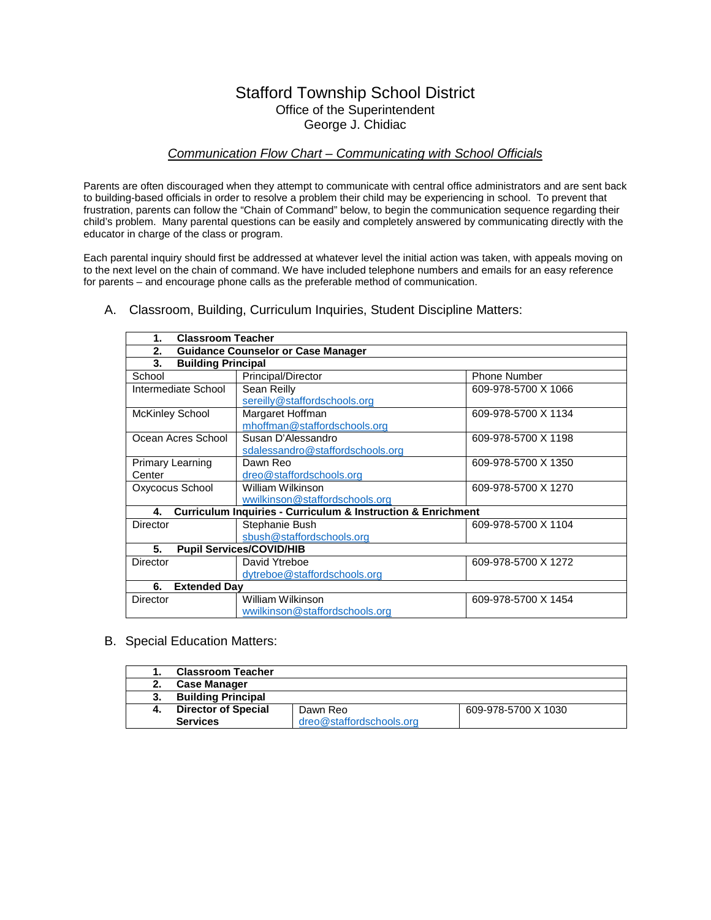## Stafford Township School District Office of the Superintendent George J. Chidiac

## *Communication Flow Chart – Communicating with School Officials*

Parents are often discouraged when they attempt to communicate with central office administrators and are sent back to building-based officials in order to resolve a problem their child may be experiencing in school. To prevent that frustration, parents can follow the "Chain of Command" below, to begin the communication sequence regarding their child's problem. Many parental questions can be easily and completely answered by communicating directly with the educator in charge of the class or program.

Each parental inquiry should first be addressed at whatever level the initial action was taken, with appeals moving on to the next level on the chain of command. We have included telephone numbers and emails for an easy reference for parents – and encourage phone calls as the preferable method of communication.

| <b>Classroom Teacher</b><br>1.  |                                                                             |                     |
|---------------------------------|-----------------------------------------------------------------------------|---------------------|
| 2.                              | <b>Guidance Counselor or Case Manager</b>                                   |                     |
| 3.<br><b>Building Principal</b> |                                                                             |                     |
| School                          | Principal/Director                                                          | <b>Phone Number</b> |
| Intermediate School             | Sean Reilly                                                                 | 609-978-5700 X 1066 |
|                                 | sereilly@staffordschools.org                                                |                     |
| <b>McKinley School</b>          | Margaret Hoffman                                                            | 609-978-5700 X 1134 |
|                                 | mhoffman@staffordschools.org                                                |                     |
| Ocean Acres School              | Susan D'Alessandro                                                          | 609-978-5700 X 1198 |
|                                 | sdalessandro@staffordschools.org                                            |                     |
| <b>Primary Learning</b>         | Dawn Reo                                                                    | 609-978-5700 X 1350 |
| Center                          | dreo@staffordschools.org                                                    |                     |
| Oxycocus School                 | William Wilkinson                                                           | 609-978-5700 X 1270 |
|                                 | wwilkinson@staffordschools.org                                              |                     |
| 4.                              | <b>Curriculum Inquiries - Curriculum &amp; Instruction &amp; Enrichment</b> |                     |
| Director                        | Stephanie Bush                                                              | 609-978-5700 X 1104 |
|                                 | sbush@staffordschools.org                                                   |                     |
| 5.                              | <b>Pupil Services/COVID/HIB</b>                                             |                     |
| <b>Director</b>                 | David Ytreboe                                                               | 609-978-5700 X 1272 |
|                                 | dytreboe@staffordschools.org                                                |                     |
| 6.<br><b>Extended Dav</b>       |                                                                             |                     |
| Director                        | William Wilkinson                                                           | 609-978-5700 X 1454 |
|                                 | wwilkinson@staffordschools.org                                              |                     |

A. Classroom, Building, Curriculum Inquiries, Student Discipline Matters:

B. Special Education Matters:

| <b>Classroom Teacher</b>   |                          |                     |
|----------------------------|--------------------------|---------------------|
| <b>Case Manager</b>        |                          |                     |
| <b>Building Principal</b>  |                          |                     |
| <b>Director of Special</b> | Dawn Reo                 | 609-978-5700 X 1030 |
| <b>Services</b>            | dreo@staffordschools.org |                     |